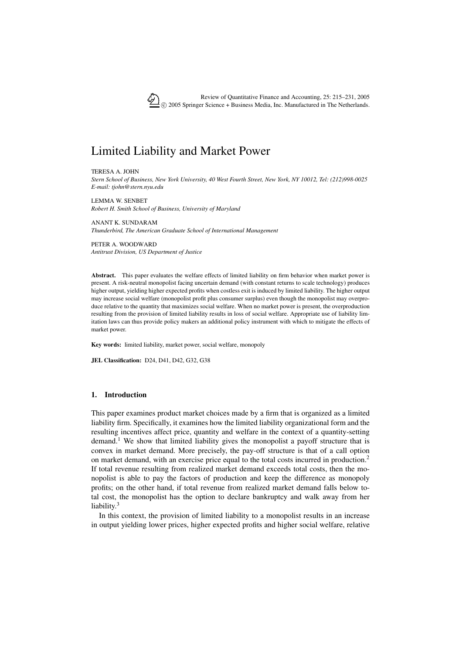# Limited Liability and Market Power

TERESA A. JOHN *Stern School of Business, New York University, 40 West Fourth Street, New York, NY 10012, Tel: (212)998-0025 E-mail: tjohn@stern.nyu.edu*

LEMMA W. SENBET *Robert H. Smith School of Business, University of Maryland*

ANANT K. SUNDARAM *Thunderbird, The American Graduate School of International Management*

PETER A. WOODWARD *Antitrust Division, US Department of Justice*

**Abstract.** This paper evaluates the welfare effects of limited liability on firm behavior when market power is present. A risk-neutral monopolist facing uncertain demand (with constant returns to scale technology) produces higher output, yielding higher expected profits when costless exit is induced by limited liability. The higher output may increase social welfare (monopolist profit plus consumer surplus) even though the monopolist may overproduce relative to the quantity that maximizes social welfare. When no market power is present, the overproduction resulting from the provision of limited liability results in loss of social welfare. Appropriate use of liability limitation laws can thus provide policy makers an additional policy instrument with which to mitigate the effects of market power.

**Key words:** limited liability, market power, social welfare, monopoly

**JEL Classification:** D24, D41, D42, G32, G38

# **1. Introduction**

This paper examines product market choices made by a firm that is organized as a limited liability firm. Specifically, it examines how the limited liability organizational form and the resulting incentives affect price, quantity and welfare in the context of a quantity-setting demand.<sup>1</sup> We show that limited liability gives the monopolist a payoff structure that is convex in market demand. More precisely, the pay-off structure is that of a call option on market demand, with an exercise price equal to the total costs incurred in production.<sup>2</sup> If total revenue resulting from realized market demand exceeds total costs, then the monopolist is able to pay the factors of production and keep the difference as monopoly profits; on the other hand, if total revenue from realized market demand falls below total cost, the monopolist has the option to declare bankruptcy and walk away from her liability.<sup>3</sup>

In this context, the provision of limited liability to a monopolist results in an increase in output yielding lower prices, higher expected profits and higher social welfare, relative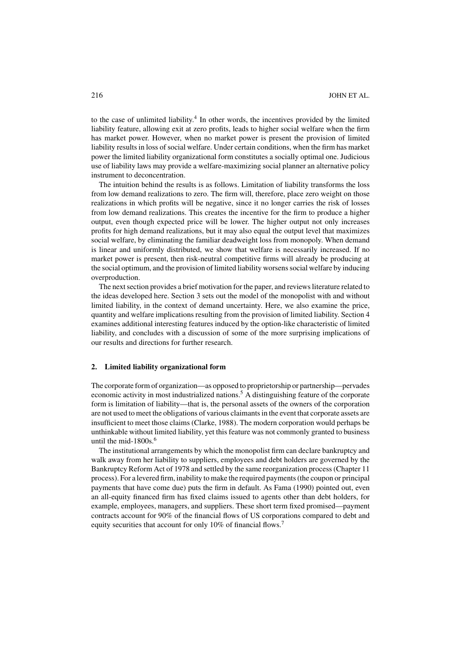to the case of unlimited liability.<sup>4</sup> In other words, the incentives provided by the limited liability feature, allowing exit at zero profits, leads to higher social welfare when the firm has market power. However, when no market power is present the provision of limited liability results in loss of social welfare. Under certain conditions, when the firm has market power the limited liability organizational form constitutes a socially optimal one. Judicious use of liability laws may provide a welfare-maximizing social planner an alternative policy instrument to deconcentration.

The intuition behind the results is as follows. Limitation of liability transforms the loss from low demand realizations to zero. The firm will, therefore, place zero weight on those realizations in which profits will be negative, since it no longer carries the risk of losses from low demand realizations. This creates the incentive for the firm to produce a higher output, even though expected price will be lower. The higher output not only increases profits for high demand realizations, but it may also equal the output level that maximizes social welfare, by eliminating the familiar deadweight loss from monopoly. When demand is linear and uniformly distributed, we show that welfare is necessarily increased. If no market power is present, then risk-neutral competitive firms will already be producing at the social optimum, and the provision of limited liability worsens social welfare by inducing overproduction.

The next section provides a brief motivation for the paper, and reviews literature related to the ideas developed here. Section 3 sets out the model of the monopolist with and without limited liability, in the context of demand uncertainty. Here, we also examine the price, quantity and welfare implications resulting from the provision of limited liability. Section 4 examines additional interesting features induced by the option-like characteristic of limited liability, and concludes with a discussion of some of the more surprising implications of our results and directions for further research.

# **2. Limited liability organizational form**

The corporate form of organization—as opposed to proprietorship or partnership—pervades economic activity in most industrialized nations.<sup>5</sup> A distinguishing feature of the corporate form is limitation of liability—that is, the personal assets of the owners of the corporation are not used to meet the obligations of various claimants in the event that corporate assets are insufficient to meet those claims (Clarke, 1988). The modern corporation would perhaps be unthinkable without limited liability, yet this feature was not commonly granted to business until the mid- $1800s<sup>6</sup>$ 

The institutional arrangements by which the monopolist firm can declare bankruptcy and walk away from her liability to suppliers, employees and debt holders are governed by the Bankruptcy Reform Act of 1978 and settled by the same reorganization process (Chapter 11 process). For a levered firm, inability to make the required payments (the coupon or principal payments that have come due) puts the firm in default. As Fama (1990) pointed out, even an all-equity financed firm has fixed claims issued to agents other than debt holders, for example, employees, managers, and suppliers. These short term fixed promised—payment contracts account for 90% of the financial flows of US corporations compared to debt and equity securities that account for only 10% of financial flows.<sup>7</sup>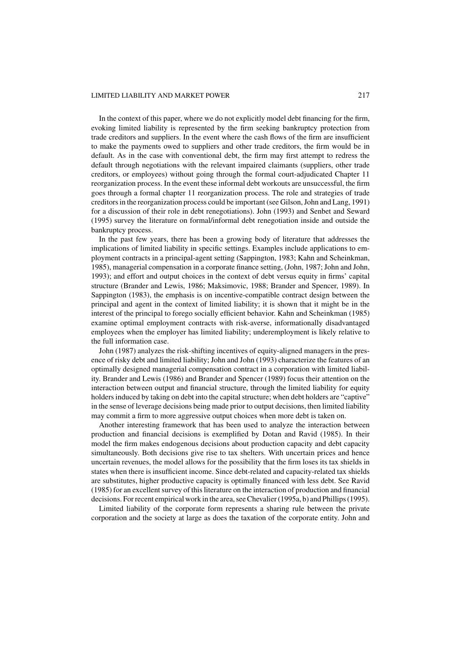In the context of this paper, where we do not explicitly model debt financing for the firm, evoking limited liability is represented by the firm seeking bankruptcy protection from trade creditors and suppliers. In the event where the cash flows of the firm are insufficient to make the payments owed to suppliers and other trade creditors, the firm would be in default. As in the case with conventional debt, the firm may first attempt to redress the default through negotiations with the relevant impaired claimants (suppliers, other trade creditors, or employees) without going through the formal court-adjudicated Chapter 11 reorganization process. In the event these informal debt workouts are unsuccessful, the firm goes through a formal chapter 11 reorganization process. The role and strategies of trade creditors in the reorganization process could be important (see Gilson, John and Lang, 1991) for a discussion of their role in debt renegotiations). John (1993) and Senbet and Seward (1995) survey the literature on formal/informal debt renegotiation inside and outside the bankruptcy process.

In the past few years, there has been a growing body of literature that addresses the implications of limited liability in specific settings. Examples include applications to employment contracts in a principal-agent setting (Sappington, 1983; Kahn and Scheinkman, 1985), managerial compensation in a corporate finance setting, (John, 1987; John and John, 1993); and effort and output choices in the context of debt versus equity in firms' capital structure (Brander and Lewis, 1986; Maksimovic, 1988; Brander and Spencer, 1989). In Sappington (1983), the emphasis is on incentive-compatible contract design between the principal and agent in the context of limited liability; it is shown that it might be in the interest of the principal to forego socially efficient behavior. Kahn and Scheinkman (1985) examine optimal employment contracts with risk-averse, informationally disadvantaged employees when the employer has limited liability; underemployment is likely relative to the full information case.

John (1987) analyzes the risk-shifting incentives of equity-aligned managers in the presence of risky debt and limited liability; John and John (1993) characterize the features of an optimally designed managerial compensation contract in a corporation with limited liability. Brander and Lewis (1986) and Brander and Spencer (1989) focus their attention on the interaction between output and financial structure, through the limited liability for equity holders induced by taking on debt into the capital structure; when debt holders are "captive" in the sense of leverage decisions being made prior to output decisions, then limited liability may commit a firm to more aggressive output choices when more debt is taken on.

Another interesting framework that has been used to analyze the interaction between production and financial decisions is exemplified by Dotan and Ravid (1985). In their model the firm makes endogenous decisions about production capacity and debt capacity simultaneously. Both decisions give rise to tax shelters. With uncertain prices and hence uncertain revenues, the model allows for the possibility that the firm loses its tax shields in states when there is insufficient income. Since debt-related and capacity-related tax shields are substitutes, higher productive capacity is optimally financed with less debt. See Ravid (1985) for an excellent survey of this literature on the interaction of production and financial decisions. For recent empirical work in the area, see Chevalier (1995a, b) and Phillips (1995).

Limited liability of the corporate form represents a sharing rule between the private corporation and the society at large as does the taxation of the corporate entity. John and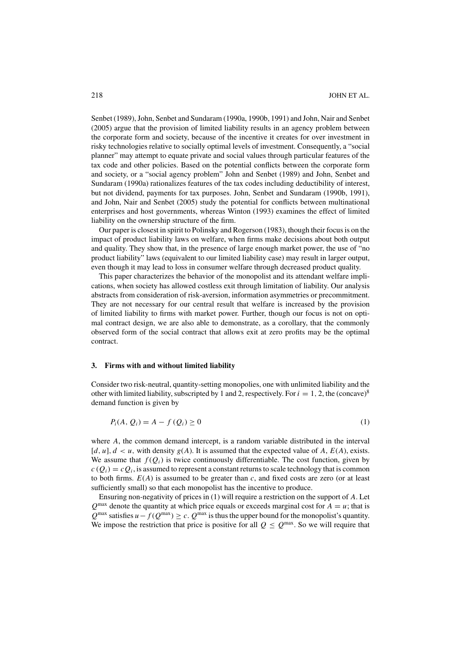Senbet (1989), John, Senbet and Sundaram (1990a, 1990b, 1991) and John, Nair and Senbet (2005) argue that the provision of limited liability results in an agency problem between the corporate form and society, because of the incentive it creates for over investment in risky technologies relative to socially optimal levels of investment. Consequently, a "social planner" may attempt to equate private and social values through particular features of the tax code and other policies. Based on the potential conflicts between the corporate form and society, or a "social agency problem" John and Senbet (1989) and John, Senbet and Sundaram (1990a) rationalizes features of the tax codes including deductibility of interest, but not dividend, payments for tax purposes. John, Senbet and Sundaram (1990b, 1991), and John, Nair and Senbet (2005) study the potential for conflicts between multinational enterprises and host governments, whereas Winton (1993) examines the effect of limited liability on the ownership structure of the firm.

Our paper is closest in spirit to Polinsky and Rogerson (1983), though their focus is on the impact of product liability laws on welfare, when firms make decisions about both output and quality. They show that, in the presence of large enough market power, the use of "no product liability" laws (equivalent to our limited liability case) may result in larger output, even though it may lead to loss in consumer welfare through decreased product quality.

This paper characterizes the behavior of the monopolist and its attendant welfare implications, when society has allowed costless exit through limitation of liability. Our analysis abstracts from consideration of risk-aversion, information asymmetries or precommitment. They are not necessary for our central result that welfare is increased by the provision of limited liability to firms with market power. Further, though our focus is not on optimal contract design, we are also able to demonstrate, as a corollary, that the commonly observed form of the social contract that allows exit at zero profits may be the optimal contract.

#### **3. Firms with and without limited liability**

Consider two risk-neutral, quantity-setting monopolies, one with unlimited liability and the other with limited liability, subscripted by 1 and 2, respectively. For  $i = 1, 2$ , the (concave)<sup>8</sup> demand function is given by

$$
P_i(A, Q_i) = A - f(Q_i) \ge 0
$$
\n(1)

where *A*, the common demand intercept, is a random variable distributed in the interval  $[d, u]$ ,  $d < u$ , with density  $g(A)$ . It is assumed that the expected value of A,  $E(A)$ , exists. We assume that  $f(Q_i)$  is twice continuously differentiable. The cost function, given by  $c(Q_i) = cQ_i$ , is assumed to represent a constant returns to scale technology that is common to both firms.  $E(A)$  is assumed to be greater than  $c$ , and fixed costs are zero (or at least sufficiently small) so that each monopolist has the incentive to produce.

Ensuring non-negativity of prices in (1) will require a restriction on the support of *A*. Let  $Q^{\text{max}}$  denote the quantity at which price equals or exceeds marginal cost for  $A = u$ ; that is  $Q^{\max}$  satisfies  $u - f(Q^{\max}) \ge c$ .  $Q^{\max}$  is thus the upper bound for the monopolist's quantity. We impose the restriction that price is positive for all  $Q \leq Q^{\max}$ . So we will require that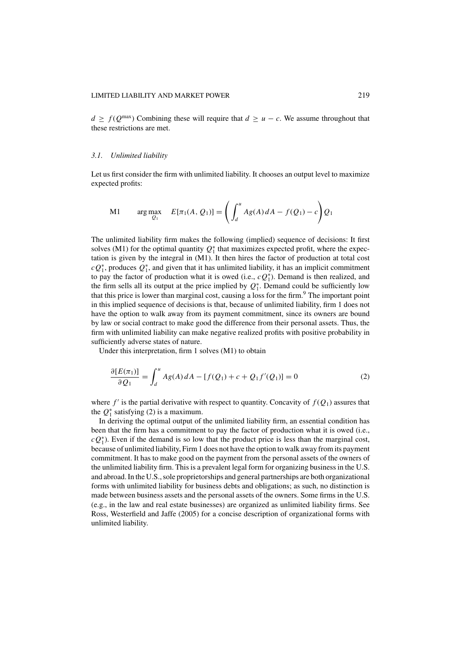$d \ge f(Q^{\max})$  Combining these will require that  $d \ge u - c$ . We assume throughout that these restrictions are met.

# *3.1. Unlimited liability*

Let us first consider the firm with unlimited liability. It chooses an output level to maximize expected profits:

M1 
$$
\arg \max_{Q_1} E[\pi_1(A, Q_1)] = \left( \int_d^u Ag(A) dA - f(Q_1) - c \right) Q_1
$$

The unlimited liability firm makes the following (implied) sequence of decisions: It first solves (M1) for the optimal quantity  $Q_1^*$  that maximizes expected profit, where the expectation is given by the integral in (M1). It then hires the factor of production at total cost *cQ*<sup>\*</sup><sub>1</sub>, produces  $Q_1^*$ , and given that it has unlimited liability, it has an implicit commitment to pay the factor of production what it is owed (i.e.,  $cQ_1^*$ ). Demand is then realized, and the firm sells all its output at the price implied by  $Q_1^*$ . Demand could be sufficiently low that this price is lower than marginal cost, causing a loss for the firm. $9$  The important point in this implied sequence of decisions is that, because of unlimited liability, firm 1 does not have the option to walk away from its payment commitment, since its owners are bound by law or social contract to make good the difference from their personal assets. Thus, the firm with unlimited liability can make negative realized profits with positive probability in sufficiently adverse states of nature.

Under this interpretation, firm 1 solves (M1) to obtain

$$
\frac{\partial [E(\pi_1)]}{\partial Q_1} = \int_d^u A g(A) dA - [f(Q_1) + c + Q_1 f'(Q_1)] = 0
$$
\n(2)

where  $f'$  is the partial derivative with respect to quantity. Concavity of  $f(Q_1)$  assures that the  $Q_1^*$  satisfying (2) is a maximum.

In deriving the optimal output of the unlimited liability firm, an essential condition has been that the firm has a commitment to pay the factor of production what it is owed (i.e., *cQ*<sup>∗</sup> <sup>1</sup>). Even if the demand is so low that the product price is less than the marginal cost, because of unlimited liability, Firm 1 does not have the option to walk away from its payment commitment. It has to make good on the payment from the personal assets of the owners of the unlimited liability firm. This is a prevalent legal form for organizing business in the U.S. and abroad. In the U.S., sole proprietorships and general partnerships are both organizational forms with unlimited liability for business debts and obligations; as such, no distinction is made between business assets and the personal assets of the owners. Some firms in the U.S. (e.g., in the law and real estate businesses) are organized as unlimited liability firms. See Ross, Westerfield and Jaffe (2005) for a concise description of organizational forms with unlimited liability.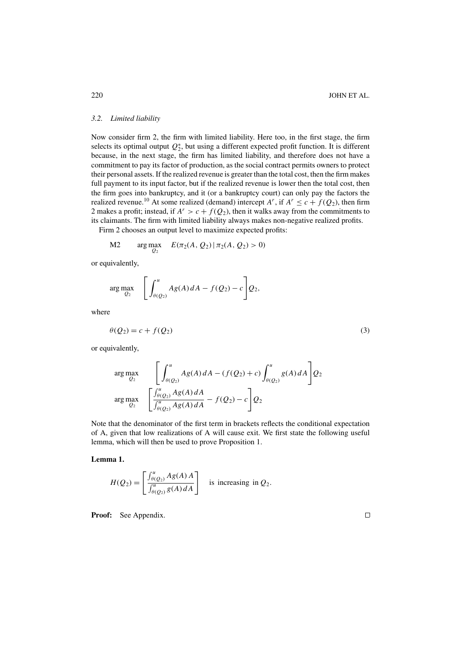# *3.2. Limited liability*

Now consider firm 2, the firm with limited liability. Here too, in the first stage, the firm selects its optimal output *Q*<sup>∗</sup> <sup>2</sup>, but using a different expected profit function. It is different because, in the next stage, the firm has limited liability, and therefore does not have a commitment to pay its factor of production, as the social contract permits owners to protect their personal assets. If the realized revenue is greater than the total cost, then the firm makes full payment to its input factor, but if the realized revenue is lower then the total cost, then the firm goes into bankruptcy, and it (or a bankruptcy court) can only pay the factors the realized revenue.<sup>10</sup> At some realized (demand) intercept  $A^r$ , if  $A^r \leq c + f(Q_2)$ , then firm 2 makes a profit; instead, if  $A^r > c + f(Q_2)$ , then it walks away from the commitments to its claimants. The firm with limited liability always makes non-negative realized profits.

Firm 2 chooses an output level to maximize expected profits:

M2 arg max<sub>Q<sub>2</sub></sub> 
$$
E(\pi_2(A, Q_2) | \pi_2(A, Q_2) > 0)
$$

or equivalently,

$$
\arg\max_{Q_2} \quad \left[ \int_{\theta(Q_2)}^u Ag(A) \, dA - f(Q_2) - c \right] Q_2,
$$

where

$$
\theta(Q_2) = c + f(Q_2) \tag{3}
$$

or equivalently,

$$
\arg \max_{Q_2} \left[ \int_{\theta(Q_2)}^u Ag(A) dA - (f(Q_2) + c) \int_{\theta(Q_2)}^u g(A) dA \right] Q_2
$$
  
arg max  $\left[ \frac{\int_{\theta(Q_2)}^u Ag(A) dA}{\int_{\theta(Q_2)}^u Ag(A) dA} - f(Q_2) - c \right] Q_2$ 

Note that the denominator of the first term in brackets reflects the conditional expectation of A, given that low realizations of A will cause exit. We first state the following useful lemma, which will then be used to prove Proposition 1.

**Lemma 1.**

$$
H(Q_2) = \left[ \frac{\int_{\theta(Q_2)}^u Ag(A) \, A}{\int_{\theta(Q_2)}^u g(A) \, dA} \right]
$$
 is increasing in  $Q_2$ .

**Proof:** See Appendix.

 $\Box$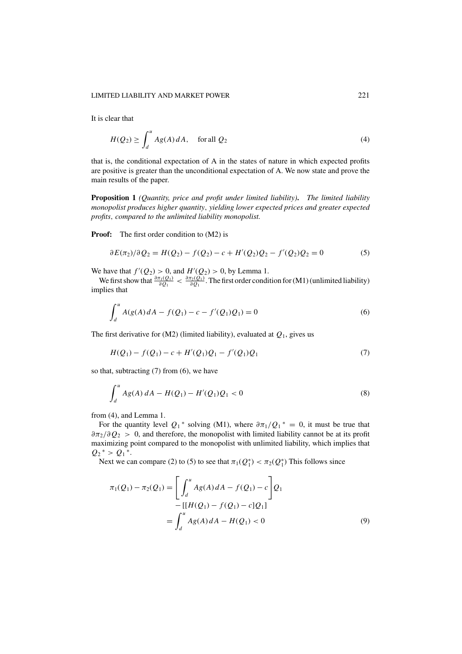It is clear that

$$
H(Q_2) \ge \int_d^u A g(A) dA, \quad \text{for all } Q_2 \tag{4}
$$

that is, the conditional expectation of A in the states of nature in which expected profits are positive is greater than the unconditional expectation of A. We now state and prove the main results of the paper.

**Proposition 1** *(Quantity, price and profit under limited liability)***.** *The limited liability monopolist produces higher quantity*, *yielding lower expected prices and greater expected profits*, *compared to the unlimited liability monopolist.*

**Proof:** The first order condition to (M2) is

$$
\partial E(\pi_2)/\partial Q_2 = H(Q_2) - f(Q_2) - c + H'(Q_2)Q_2 - f'(Q_2)Q_2 = 0 \tag{5}
$$

We have that  $f'(Q_2) > 0$ , and  $H'(Q_2) > 0$ , by Lemma 1.

We first show that  $\frac{\partial \pi_1(Q_1)}{\partial Q_1} < \frac{\partial \pi_2(Q_1)}{\partial Q_1}$ . The first order condition for (M1) (unlimited liability) implies that

$$
\int_{d}^{u} A(g(A) dA - f(Q_1) - c - f'(Q_1)Q_1) = 0
$$
\n(6)

The first derivative for (M2) (limited liability), evaluated at  $Q_1$ , gives us

$$
H(Q_1) - f(Q_1) - c + H'(Q_1)Q_1 - f'(Q_1)Q_1 \tag{7}
$$

so that, subtracting (7) from (6), we have

$$
\int_{d}^{u} Ag(A) dA - H(Q_1) - H'(Q_1)Q_1 < 0
$$
\n(8)

from (4), and Lemma 1.

For the quantity level  $Q_1^*$  solving (M1), where  $\partial \pi_1/Q_1^* = 0$ , it must be true that  $\partial \pi_2/\partial Q_2 > 0$ , and therefore, the monopolist with limited liability cannot be at its profit maximizing point compared to the monopolist with unlimited liability, which implies that  $Q_2$ <sup>\*</sup> >  $Q_1$ <sup>\*</sup>.

Next we can compare (2) to (5) to see that  $\pi_1(Q_1^*) < \pi_2(Q_1^*)$  This follows since

$$
\pi_1(Q_1) - \pi_2(Q_1) = \left[ \int_d^u A g(A) dA - f(Q_1) - c \right] Q_1
$$
  
-[[H(Q\_1) - f(Q\_1) - c]Q\_1]  
= 
$$
\int_d^u A g(A) dA - H(Q_1) < 0
$$
 (9)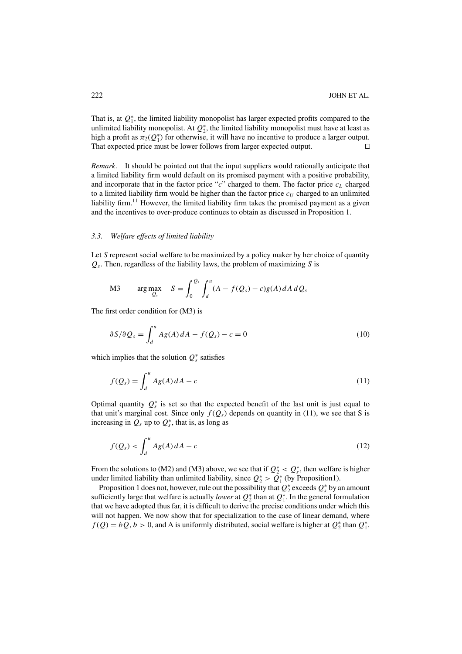That is, at  $Q_1^*$ , the limited liability monopolist has larger expected profits compared to the unlimited liability monopolist. At  $Q_2^*$ , the limited liability monopolist must have at least as high a profit as  $\pi_2(Q_1^*)$  for otherwise, it will have no incentive to produce a larger output. That expected price must be lower follows from larger expected output.  $\Box$ 

*Remark*. It should be pointed out that the input suppliers would rationally anticipate that a limited liability firm would default on its promised payment with a positive probability, and incorporate that in the factor price " $c$ " charged to them. The factor price  $c<sub>L</sub>$  charged to a limited liability firm would be higher than the factor price  $c_U$  charged to an unlimited liability firm.<sup>11</sup> However, the limited liability firm takes the promised payment as a given and the incentives to over-produce continues to obtain as discussed in Proposition 1.

## *3.3. Welfare effects of limited liability*

Let *S* represent social welfare to be maximized by a policy maker by her choice of quantity *Qs*. Then, regardless of the liability laws, the problem of maximizing *S* is

M3 
$$
\arg \max_{Q_s} \quad S = \int_0^{Q_s} \int_d^u (A - f(Q_s) - c)g(A) dA dQ_s
$$

The first order condition for (M3) is

$$
\partial S/\partial Q_s = \int_d^u Ag(A) dA - f(Q_s) - c = 0 \tag{10}
$$

which implies that the solution  $Q_s^*$  satisfies

$$
f(Q_s) = \int_d^u A g(A) dA - c \tag{11}
$$

Optimal quantity  $Q_s^*$  is set so that the expected benefit of the last unit is just equal to that unit's marginal cost. Since only  $f(Q<sub>s</sub>)$  depends on quantity in (11), we see that S is increasing in  $Q_s$  up to  $Q_s^*$ , that is, as long as

$$
f(Q_s) < \int_d^u A g(A) \, dA - c \tag{12}
$$

From the solutions to (M2) and (M3) above, we see that if  $Q_2^* < Q_s^*$ , then welfare is higher under limited liability than unlimited liability, since  $Q_2^* > Q_1^*$  (by Proposition1).

Proposition 1 does not, however, rule out the possibility that  $Q_2^*$  exceeds  $Q_s^*$  by an amount sufficiently large that welfare is actually *lower* at  $Q_2^*$  than at  $Q_1^*$ . In the general formulation that we have adopted thus far, it is difficult to derive the precise conditions under which this will not happen. We now show that for specialization to the case of linear demand, where  $f(Q) = bQ, b > 0$ , and A is uniformly distributed, social welfare is higher at  $Q_2^*$  than  $Q_1^*$ .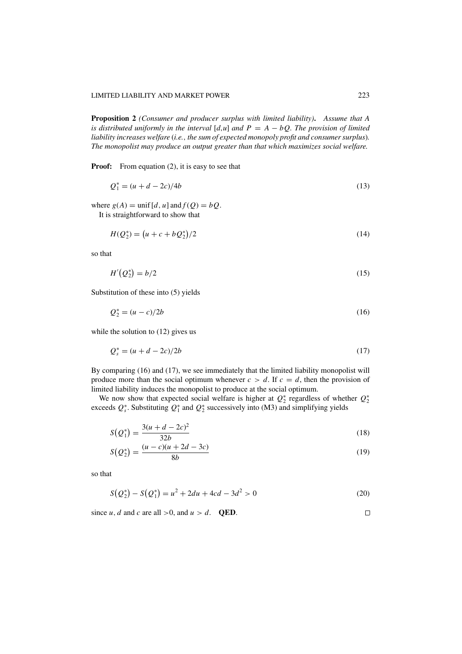**Proposition 2** *(Consumer and producer surplus with limited liability)***.** *Assume that A is distributed uniformly in the interval*  $[d, u]$  *and*  $P = A - bQ$ . *The provision of limited liability increases welfare* (*i.e.*, *the sum of expected monopoly profit and consumer surplus*)*. The monopolist may produce an output greater than that which maximizes social welfare.*

**Proof:** From equation (2), it is easy to see that

$$
Q_1^* = (u + d - 2c)/4b \tag{13}
$$

where  $g(A) = \text{unif } [d, u]$  and  $f(Q) = bQ$ . It is straightforward to show that

$$
H(Q_2^*) = (u + c + bQ_2^*)/2
$$
\n(14)

so that

$$
H'\left(\mathcal{Q}_2^*\right) = b/2\tag{15}
$$

Substitution of these into (5) yields

$$
Q_2^* = (u - c)/2b \tag{16}
$$

while the solution to (12) gives us

$$
Q_s^* = (u + d - 2c)/2b \tag{17}
$$

By comparing (16) and (17), we see immediately that the limited liability monopolist will produce more than the social optimum whenever  $c > d$ . If  $c = d$ , then the provision of limited liability induces the monopolist to produce at the social optimum.

We now show that expected social welfare is higher at  $Q_2^*$  regardless of whether  $Q_2^*$ exceeds  $Q_s^*$ . Substituting  $Q_1^*$  and  $Q_2^*$  successively into (M3) and simplifying yields

$$
S(Q_1^*) = \frac{3(u+d-2c)^2}{32b} \tag{18}
$$

$$
S(Q_2^*) = \frac{(u-c)(u+2d-3c)}{8b} \tag{19}
$$

so that

$$
S(Q_2^*) - S(Q_1^*) = u^2 + 2du + 4cd - 3d^2 > 0
$$
\n(20)

since *u*, *d* and *c* are all  $>0$ , and  $u > d$ . **QED**.  $\Box$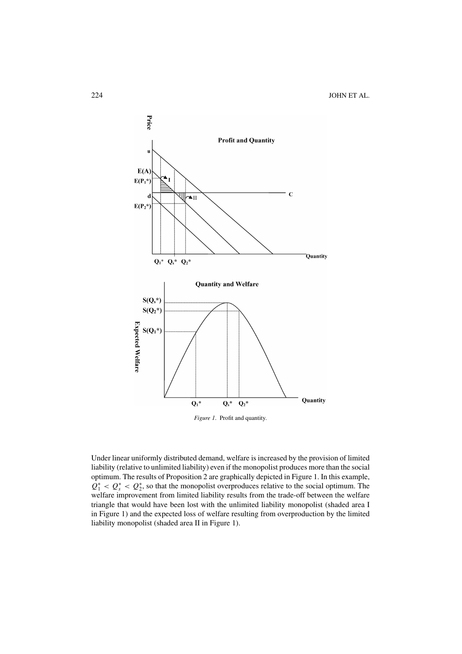

*Figure 1*. Profit and quantity.

Under linear uniformly distributed demand, welfare is increased by the provision of limited liability (relative to unlimited liability) even if the monopolist produces more than the social optimum. The results of Proposition 2 are graphically depicted in Figure 1. In this example,  $Q_1^* < Q_s^* < Q_2^*$ , so that the monopolist overproduces relative to the social optimum. The welfare improvement from limited liability results from the trade-off between the welfare triangle that would have been lost with the unlimited liability monopolist (shaded area I in Figure 1) and the expected loss of welfare resulting from overproduction by the limited liability monopolist (shaded area II in Figure 1).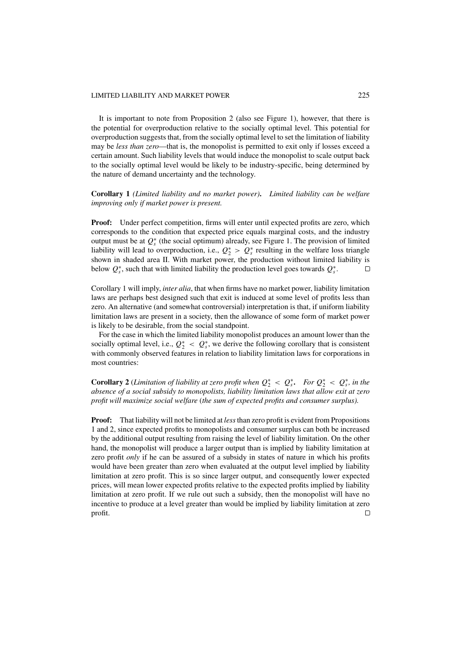It is important to note from Proposition 2 (also see Figure 1), however, that there is the potential for overproduction relative to the socially optimal level. This potential for overproduction suggests that, from the socially optimal level to set the limitation of liability may be *less than zero*—that is, the monopolist is permitted to exit only if losses exceed a certain amount. Such liability levels that would induce the monopolist to scale output back to the socially optimal level would be likely to be industry-specific, being determined by the nature of demand uncertainty and the technology.

**Corollary 1** *(Limited liability and no market power)***.** *Limited liability can be welfare improving only if market power is present.*

**Proof:** Under perfect competition, firms will enter until expected profits are zero, which corresponds to the condition that expected price equals marginal costs, and the industry output must be at  $Q_s^*$  (the social optimum) already, see Figure 1. The provision of limited liability will lead to overproduction, i.e.,  $Q_2^* > Q_s^*$  resulting in the welfare loss triangle shown in shaded area II. With market power, the production without limited liability is below  $Q_s^*$ , such that with limited liability the production level goes towards  $Q_s^*$ .  $\Box$ 

Corollary 1 will imply, *inter alia*, that when firms have no market power, liability limitation laws are perhaps best designed such that exit is induced at some level of profits less than zero. An alternative (and somewhat controversial) interpretation is that, if uniform liability limitation laws are present in a society, then the allowance of some form of market power is likely to be desirable, from the social standpoint.

For the case in which the limited liability monopolist produces an amount lower than the socially optimal level, i.e.,  $Q_2^* \leq Q_s^*$ , we derive the following corollary that is consistent with commonly observed features in relation to liability limitation laws for corporations in most countries:

**Corollary 2** (*Limitation of liability at zero profit when*  $Q_2^* < Q_s^*$ *. For*  $Q_2^* < Q_s^*$ *, in the absence of a social subsidy to monopolists, liability limitation laws that allow exit at zero profit will maximize social welfare* (*the sum of expected profits and consumer surplus).*

**Proof:** That liability will not be limited at *less*than zero profit is evident from Propositions 1 and 2, since expected profits to monopolists and consumer surplus can both be increased by the additional output resulting from raising the level of liability limitation. On the other hand, the monopolist will produce a larger output than is implied by liability limitation at zero profit *only* if he can be assured of a subsidy in states of nature in which his profits would have been greater than zero when evaluated at the output level implied by liability limitation at zero profit. This is so since larger output, and consequently lower expected prices, will mean lower expected profits relative to the expected profits implied by liability limitation at zero profit. If we rule out such a subsidy, then the monopolist will have no incentive to produce at a level greater than would be implied by liability limitation at zero profit. $\Box$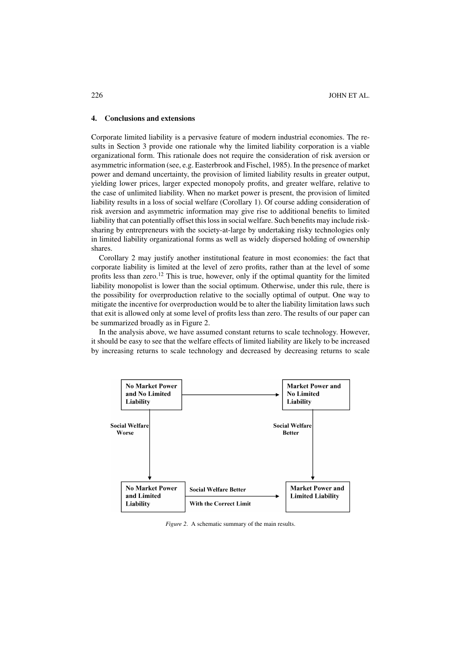# **4. Conclusions and extensions**

Corporate limited liability is a pervasive feature of modern industrial economies. The results in Section 3 provide one rationale why the limited liability corporation is a viable organizational form. This rationale does not require the consideration of risk aversion or asymmetric information (see, e.g. Easterbrook and Fischel, 1985). In the presence of market power and demand uncertainty, the provision of limited liability results in greater output, yielding lower prices, larger expected monopoly profits, and greater welfare, relative to the case of unlimited liability. When no market power is present, the provision of limited liability results in a loss of social welfare (Corollary 1). Of course adding consideration of risk aversion and asymmetric information may give rise to additional benefits to limited liability that can potentially offset this loss in social welfare. Such benefits may include risksharing by entrepreneurs with the society-at-large by undertaking risky technologies only in limited liability organizational forms as well as widely dispersed holding of ownership shares.

Corollary 2 may justify another institutional feature in most economies: the fact that corporate liability is limited at the level of zero profits, rather than at the level of some profits less than zero.<sup>12</sup> This is true, however, only if the optimal quantity for the limited liability monopolist is lower than the social optimum. Otherwise, under this rule, there is the possibility for overproduction relative to the socially optimal of output. One way to mitigate the incentive for overproduction would be to alter the liability limitation laws such that exit is allowed only at some level of profits less than zero. The results of our paper can be summarized broadly as in Figure 2.

In the analysis above, we have assumed constant returns to scale technology. However, it should be easy to see that the welfare effects of limited liability are likely to be increased by increasing returns to scale technology and decreased by decreasing returns to scale



*Figure 2*. A schematic summary of the main results.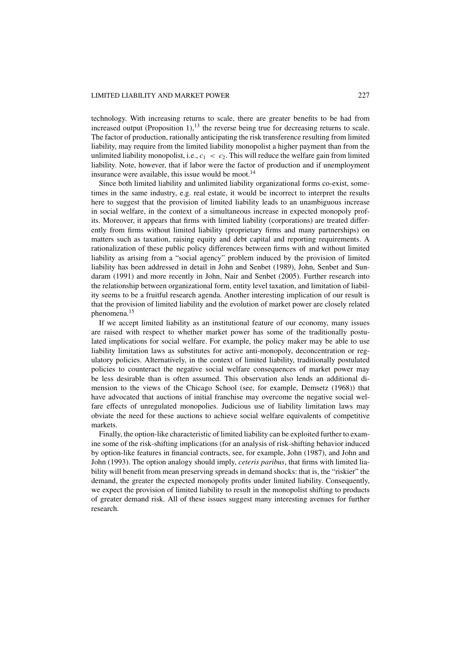technology. With increasing returns to scale, there are greater benefits to be had from increased output (Proposition 1), $^{13}$  the reverse being true for decreasing returns to scale. The factor of production, rationally anticipating the risk transference resulting from limited liability, may require from the limited liability monopolist a higher payment than from the unlimited liability monopolist, i.e.,  $c_1 < c_2$ . This will reduce the welfare gain from limited liability. Note, however, that if labor were the factor of production and if unemployment insurance were available, this issue would be moot.<sup>14</sup>

Since both limited liability and unlimited liability organizational forms co-exist, sometimes in the same industry, e.g. real estate, it would be incorrect to interpret the results here to suggest that the provision of limited liability leads to an unambiguous increase in social welfare, in the context of a simultaneous increase in expected monopoly profits. Moreover, it appears that firms with limited liability (corporations) are treated differently from firms without limited liability (proprietary firms and many partnerships) on matters such as taxation, raising equity and debt capital and reporting requirements. A rationalization of these public policy differences between firms with and without limited liability as arising from a "social agency" problem induced by the provision of limited liability has been addressed in detail in John and Senbet (1989), John, Senbet and Sundaram (1991) and more recently in John, Nair and Senbet (2005). Further research into the relationship between organizational form, entity level taxation, and limitation of liability seems to be a fruitful research agenda. Another interesting implication of our result is that the provision of limited liability and the evolution of market power are closely related phenomena.<sup>15</sup>

If we accept limited liability as an institutional feature of our economy, many issues are raised with respect to whether market power has some of the traditionally postulated implications for social welfare. For example, the policy maker may be able to use liability limitation laws as substitutes for active anti-monopoly, deconcentration or regulatory policies. Alternatively, in the context of limited liability, traditionally postulated policies to counteract the negative social welfare consequences of market power may be less desirable than is often assumed. This observation also lends an additional dimension to the views of the Chicago School (see, for example, Demsetz (1968)) that have advocated that auctions of initial franchise may overcome the negative social welfare effects of unregulated monopolies. Judicious use of liability limitation laws may obviate the need for these auctions to achieve social welfare equivalents of competitive markets.

Finally, the option-like characteristic of limited liability can be exploited further to examine some of the risk-shifting implications (for an analysis of risk-shifting behavior induced by option-like features in financial contracts, see, for example, John (1987), and John and John (1993). The option analogy should imply, *ceteris paribus*, that firms with limited liability will benefit from mean preserving spreads in demand shocks: that is, the "riskier" the demand, the greater the expected monopoly profits under limited liability. Consequently, we expect the provision of limited liability to result in the monopolist shifting to products of greater demand risk. All of these issues suggest many interesting avenues for further research.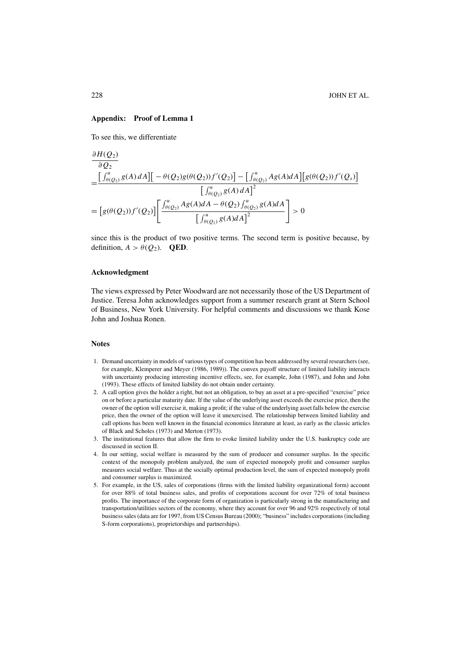# **Appendix: Proof of Lemma 1**

To see this, we differentiate

$$
\frac{\partial H(Q_2)}{\partial Q_2} = \frac{\left[\int_{\theta(Q_2)}^u g(A) dA\right] \left[-\theta(Q_2)g(\theta(Q_2))f'(Q_2)\right] - \left[\int_{\theta(Q_2)}^u Ag(A) dA\right] \left[g(\theta(Q_2))f'(Q_s)\right]}{\left[\int_{\theta(Q_2)}^u g(A) dA\right]^2}
$$
\n
$$
= \left[g(\theta(Q_2))f'(Q_2)\right] \left[\frac{\int_{\theta(Q_2)}^u Ag(A) dA - \theta(Q_2) \int_{\theta(Q_2)}^u g(A) dA}{\left[\int_{\theta(Q_2)}^u g(A) dA\right]^2}\right] > 0
$$

since this is the product of two positive terms. The second term is positive because, by definition,  $A > \theta(Q_2)$ . **QED**.

# **Acknowledgment**

The views expressed by Peter Woodward are not necessarily those of the US Department of Justice. Teresa John acknowledges support from a summer research grant at Stern School of Business, New York University. For helpful comments and discussions we thank Kose John and Joshua Ronen.

# **Notes**

- 1. Demand uncertainty in models of various types of competition has been addressed by several researchers (see, for example, Klemperer and Meyer (1986, 1989)). The convex payoff structure of limited liability interacts with uncertainty producing interesting incentive effects, see, for example, John (1987), and John and John (1993). These effects of limited liability do not obtain under certainty.
- 2. A call option gives the holder a right, but not an obligation, to buy an asset at a pre-specified "exercise" price on or before a particular maturity date. If the value of the underlying asset exceeds the exercise price, then the owner of the option will exercise it, making a profit; if the value of the underlying asset falls below the exercise price, then the owner of the option will leave it unexercised. The relationship between limited liability and call options has been well known in the financial economics literature at least, as early as the classic articles of Black and Scholes (1973) and Merton (1973).
- 3. The institutional features that allow the firm to evoke limited liability under the U.S. bankruptcy code are discussed in section II.
- 4. In our setting, social welfare is measured by the sum of producer and consumer surplus. In the specific context of the monopoly problem analyzed, the sum of expected monopoly profit and consumer surplus measures social welfare. Thus at the socially optimal production level, the sum of expected monopoly profit and consumer surplus is maximized.
- 5. For example, in the US, sales of corporations (firms with the limited liability organizational form) account for over 88% of total business sales, and profits of corporations account for over 72% of total business profits. The importance of the corporate form of organization is particularly strong in the manufacturing and transportation/utilities sectors of the economy, where they account for over 96 and 92% respectively of total business sales (data are for 1997, from US Census Bureau (2000); "business" includes corporations (including S-form corporations), proprietorships and partnerships).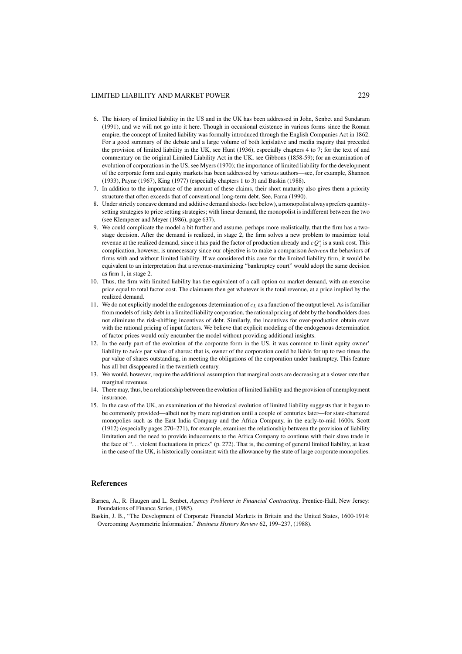- 6. The history of limited liability in the US and in the UK has been addressed in John, Senbet and Sundaram (1991), and we will not go into it here. Though in occasional existence in various forms since the Roman empire, the concept of limited liability was formally introduced through the English Companies Act in 1862. For a good summary of the debate and a large volume of both legislative and media inquiry that preceded the provision of limited liability in the UK, see Hunt (1936), especially chapters 4 to 7; for the text of and commentary on the original Limited Liability Act in the UK, see Gibbons (1858-59); for an examination of evolution of corporations in the US, see Myers (1970); the importance of limited liability for the development of the corporate form and equity markets has been addressed by various authors—see, for example, Shannon (1933), Payne (1967), King (1977) (especially chapters 1 to 3) and Baskin (1988).
- 7. In addition to the importance of the amount of these claims, their short maturity also gives them a priority structure that often exceeds that of conventional long-term debt. See, Fama (1990).
- 8. Under strictly concave demand and additive demand shocks (see below), a monopolist always prefers quantitysetting strategies to price setting strategies; with linear demand, the monopolist is indifferent between the two (see Klemperer and Meyer (1986), page 637).
- 9. We could complicate the model a bit further and assume, perhaps more realistically, that the firm has a twostage decision. After the demand is realized, in stage 2, the firm solves a new problem to maximize total revenue at the realized demand, since it has paid the factor of production already and *cQ*<sup>∗</sup> <sup>1</sup> is a sunk cost. This complication, however, is unnecessary since our objective is to make a comparison *between* the behaviors of firms with and without limited liability. If we considered this case for the limited liability firm, it would be equivalent to an interpretation that a revenue-maximizing "bankruptcy court" would adopt the same decision as firm 1, in stage 2.
- 10. Thus, the firm with limited liability has the equivalent of a call option on market demand, with an exercise price equal to total factor cost. The claimants then get whatever is the total revenue, at a price implied by the realized demand.
- 11. We do not explicitly model the endogenous determination of  $c<sub>L</sub>$  as a function of the output level. As is familiar from models of risky debt in a limited liability corporation, the rational pricing of debt by the bondholders does not eliminate the risk-shifting incentives of debt. Similarly, the incentives for over-production obtain even with the rational pricing of input factors. We believe that explicit modeling of the endogenous determination of factor prices would only encumber the model without providing additional insights.
- 12. In the early part of the evolution of the corporate form in the US, it was common to limit equity owner' liability to *twice* par value of shares: that is, owner of the corporation could be liable for up to two times the par value of shares outstanding, in meeting the obligations of the corporation under bankruptcy. This feature has all but disappeared in the twentieth century.
- 13. We would, however, require the additional assumption that marginal costs are decreasing at a slower rate than marginal revenues.
- 14. There may, thus, be a relationship between the evolution of limited liability and the provision of unemployment insurance.
- 15. In the case of the UK, an examination of the historical evolution of limited liability suggests that it began to be commonly provided—albeit not by mere registration until a couple of centuries later—for state-chartered monopolies such as the East India Company and the Africa Company, in the early-to-mid 1600s. Scott (1912) (especially pages 270–271), for example, examines the relationship between the provision of liability limitation and the need to provide inducements to the Africa Company to continue with their slave trade in the face of ". . . violent fluctuations in prices" (p. 272). That is, the coming of general limited liability, at least in the case of the UK, is historically consistent with the allowance by the state of large corporate monopolies.

#### **References**

- Barnea, A., R. Haugen and L. Senbet, *Agency Problems in Financial Contracting*. Prentice-Hall, New Jersey: Foundations of Finance Series, (1985).
- Baskin, J. B., "The Development of Corporate Financial Markets in Britain and the United States, 1600-1914: Overcoming Asymmetric Information." *Business History Review* 62, 199–237, (1988).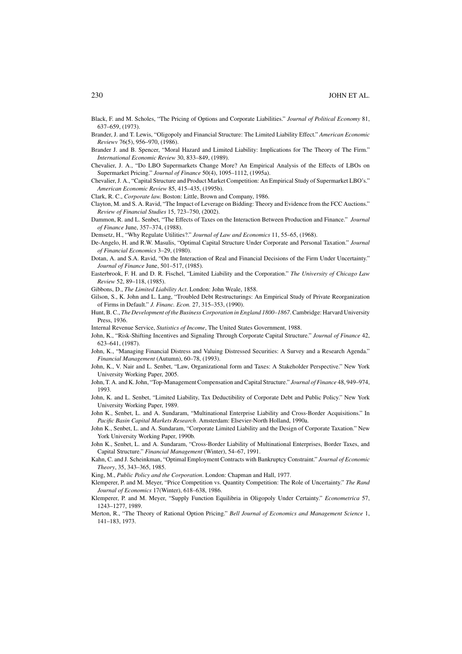- Black, F. and M. Scholes, "The Pricing of Options and Corporate Liabilities." *Journal of Political Economy* 81, 637–659, (1973).
- Brander, J. and T. Lewis, "Oligopoly and Financial Structure: The Limited Liability Effect." *American Economic Reviewv* 76(5), 956–970, (1986).
- Brander J. and B. Spencer, "Moral Hazard and Limited Liability: Implications for The Theory of The Firm." *International Economic Review* 30, 833–849, (1989).
- Chevalier, J. A., "Do LBO Supermarkets Change More? An Empirical Analysis of the Effects of LBOs on Supermarket Pricing." *Journal of Finance* 50(4), 1095–1112, (1995a).
- Chevalier, J. A., "Capital Structure and Product Market Competition: An Empirical Study of Supermarket LBO's." *American Economic Review* 85, 415–435, (1995b).

Clark, R. C., *Corporate law.* Boston: Little, Brown and Company, 1986.

- Clayton, M. and S. A. Ravid, "The Impact of Leverage on Bidding: Theory and Evidence from the FCC Auctions." *Review of Financial Studies* 15, 723–750, (2002).
- Dammon, R. and L. Senbet, "The Effects of Taxes on the Interaction Between Production and Finance." *Journal of Finance* June, 357–374, (1988).
- Demsetz, H., "Why Regulate Utilities?." *Journal of Law and Economics* 11, 55–65, (1968).
- De-Angelo, H. and R.W. Masulis, "Optimal Capital Structure Under Corporate and Personal Taxation." *Journal of Financial Economics* 3–29, (1980).
- Dotan, A. and S.A. Ravid, "On the Interaction of Real and Financial Decisions of the Firm Under Uncertainty." *Journal of Finance* June, 501–517, (1985).
- Easterbrook, F. H. and D. R. Fischel, "Limited Liability and the Corporation." *The University of Chicago Law Review* 52, 89–118, (1985).
- Gibbons, D., *The Limited Liability Act*. London: John Weale, 1858.
- Gilson, S., K. John and L. Lang, "Troubled Debt Restructurings: An Empirical Study of Private Reorganization of Firms in Default." *J. Financ. Econ.* 27, 315–353, (1990).
- Hunt, B. C., *The Development of the Business Corporation in England 1800–1867*. Cambridge: Harvard University Press, 1936.
- Internal Revenue Service, *Statistics of Income*, The United States Government, 1988.
- John, K., "Risk-Shifting Incentives and Signaling Through Corporate Capital Structure." *Journal of Finance* 42, 623–641, (1987).
- John, K., "Managing Financial Distress and Valuing Distressed Securities: A Survey and a Research Agenda." *Financial Management* (Autumn), 60–78, (1993).
- John, K., V. Nair and L. Senbet, "Law, Organizational form and Taxes: A Stakeholder Perspective." New York University Working Paper, 2005.
- John, T. A. and K. John, "Top-Management Compensation and Capital Structure." *Journal of Finance* 48, 949–974, 1993.
- John, K. and L. Senbet, "Limited Liability, Tax Deductibility of Corporate Debt and Public Policy." New York University Working Paper, 1989.
- John K., Senbet, L. and A. Sundaram, "Multinational Enterprise Liability and Cross-Border Acquisitions." In *Pacific Basin Capital Markets Research*. Amsterdam: Elsevier-North Holland, 1990a.
- John K., Senbet, L. and A. Sundaram, "Corporate Limited Liability and the Design of Corporate Taxation." New York University Working Paper, 1990b.
- John K., Senbet, L. and A. Sundaram, "Cross-Border Liability of Multinational Enterprises, Border Taxes, and Capital Structure." *Financial Management* (Winter), 54–67, 1991.
- Kahn, C. and J. Scheinkman, "Optimal Employment Contracts with Bankruptcy Constraint." *Journal of Economic Theory*, 35, 343–365, 1985.
- King, M., *Public Policy and the Corporation*. London: Chapman and Hall, 1977.
- Klemperer, P. and M. Meyer, "Price Competition vs. Quantity Competition: The Role of Uncertainty." *The Rand Journal of Economics* 17(Winter), 618–638, 1986.
- Klemperer, P. and M. Meyer, "Supply Function Equilibria in Oligopoly Under Certainty." *Econometrica* 57, 1243–1277, 1989.
- Merton, R., "The Theory of Rational Option Pricing." *Bell Journal of Economics and Management Science* 1, 141–183, 1973.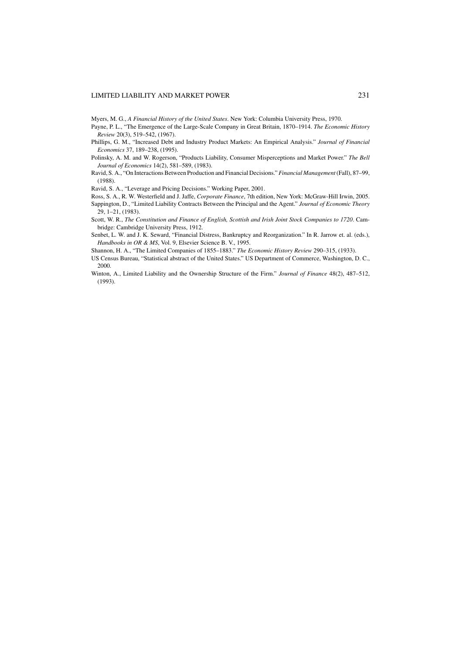Myers, M. G., *A Financial History of the United States*. New York: Columbia University Press, 1970.

- Payne, P. L., "The Emergence of the Large-Scale Company in Great Britain, 1870–1914. *The Economic History Review* 20(3), 519–542, (1967).
- Phillips, G. M., "Increased Debt and Industry Product Markets: An Empirical Analysis." *Journal of Financial Economics* 37, 189–238, (1995).
- Polinsky, A. M. and W. Rogerson, "Products Liability, Consumer Misperceptions and Market Power." *The Bell Journal of Economics* 14(2), 581–589, (1983).
- Ravid, S. A., "On Interactions Between Production and Financial Decisions." *Financial Management*(Fall), 87–99, (1988).

Ravid, S. A., "Leverage and Pricing Decisions." Working Paper, 2001.

- Ross, S. A., R. W. Westerfield and J. Jaffe, *Corporate Finance*, 7th edition, New York: McGraw-Hill Irwin, 2005. Sappington, D., "Limited Liability Contracts Between the Principal and the Agent." *Journal of Economic Theory* 29, 1–21, (1983).
- Scott, W. R., *The Constitution and Finance of English, Scottish and Irish Joint Stock Companies to 1720*. Cambridge: Cambridge University Press, 1912.

Senbet, L. W. and J. K. Seward, "Financial Distress, Bankruptcy and Reorganization." In R. Jarrow et. al. (eds.), *Handbooks in OR & MS*, Vol. 9, Elsevier Science B. V., 1995.

Shannon, H. A., "The Limited Companies of 1855–1883." *The Economic History Review* 290–315, (1933).

- US Census Bureau, "Statistical abstract of the United States." US Department of Commerce, Washington, D. C., 2000.
- Winton, A., Limited Liability and the Ownership Structure of the Firm." *Journal of Finance* 48(2), 487–512, (1993).